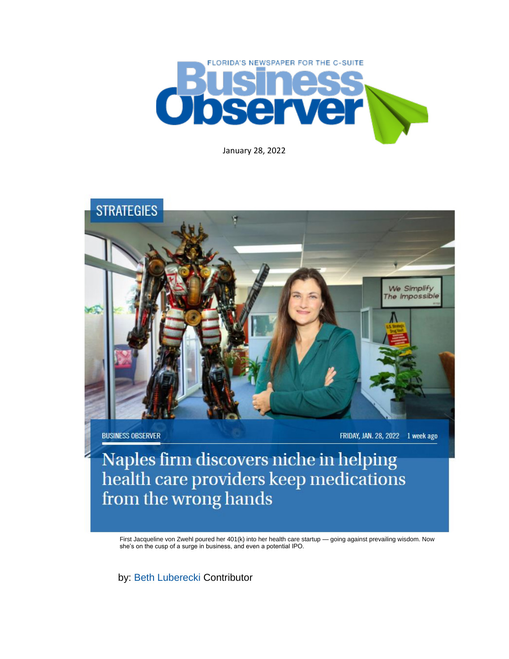

January 28, 2022



**BUSINESS OBSERVER** 

FRIDAY, JAN. 28, 2022 1 week ago

Naples firm discovers niche in helping<br>health care providers keep medications from the wrong hands

First Jacqueline von Zwehl poured her 401(k) into her health care startup — going against prevailing wisdom. Now she's on the cusp of a surge in business, and even a potential IPO.

by: [Beth Luberecki](https://www.businessobserverfl.com/articles/author/beth-luberecki-0) Contributor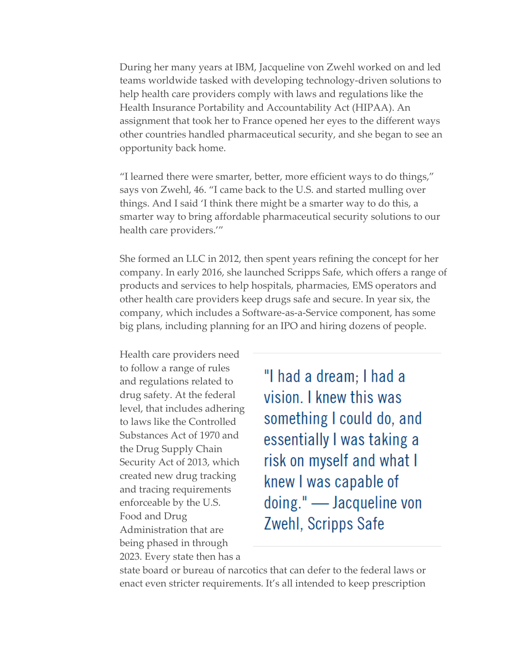During her many years at IBM, Jacqueline von Zwehl worked on and led teams worldwide tasked with developing technology-driven solutions to help health care providers comply with laws and regulations like the Health Insurance Portability and Accountability Act (HIPAA). An assignment that took her to France opened her eyes to the different ways other countries handled pharmaceutical security, and she began to see an opportunity back home.

"I learned there were smarter, better, more efficient ways to do things," says von Zwehl, 46. "I came back to the U.S. and started mulling over things. And I said 'I think there might be a smarter way to do this, a smarter way to bring affordable pharmaceutical security solutions to our health care providers.'"

She formed an LLC in 2012, then spent years refining the concept for her company. In early 2016, she launched Scripps Safe, which offers a range of products and services to help hospitals, pharmacies, EMS operators and other health care providers keep drugs safe and secure. In year six, the company, which includes a Software-as-a-Service component, has some big plans, including planning for an IPO and hiring dozens of people.

Health care providers need to follow a range of rules and regulations related to drug safety. At the federal level, that includes adhering to laws like the Controlled Substances Act of 1970 and the Drug Supply Chain Security Act of 2013, which created new drug tracking and tracing requirements enforceable by the U.S. Food and Drug Administration that are being phased in through 2023. Every state then has a

"I had a dream; I had a vision. I knew this was something I could do, and essentially I was taking a risk on myself and what I knew I was capable of doing." — Jacqueline von Zwehl, Scripps Safe

state board or bureau of narcotics that can defer to the federal laws or enact even stricter requirements. It's all intended to keep prescription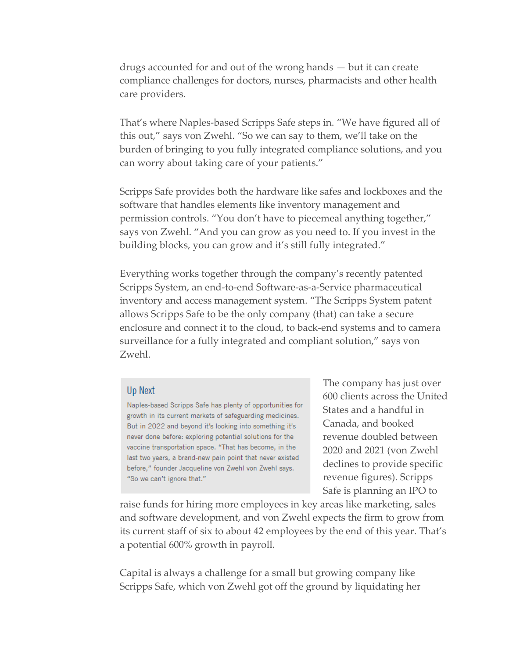drugs accounted for and out of the wrong hands — but it can create compliance challenges for doctors, nurses, pharmacists and other health care providers.

That's where Naples-based Scripps Safe steps in. "We have figured all of this out," says von Zwehl. "So we can say to them, we'll take on the burden of bringing to you fully integrated compliance solutions, and you can worry about taking care of your patients."

Scripps Safe provides both the hardware like safes and lockboxes and the software that handles elements like inventory management and permission controls. "You don't have to piecemeal anything together," says von Zwehl. "And you can grow as you need to. If you invest in the building blocks, you can grow and it's still fully integrated."

Everything works together through the company's recently patented Scripps System, an end-to-end Software-as-a-Service pharmaceutical inventory and access management system. "The Scripps System patent allows Scripps Safe to be the only company (that) can take a secure enclosure and connect it to the cloud, to back-end systems and to camera surveillance for a fully integrated and compliant solution," says von Zwehl.

## Up Next

Naples-based Scripps Safe has plenty of opportunities for growth in its current markets of safeguarding medicines. But in 2022 and beyond it's looking into something it's never done before: exploring potential solutions for the vaccine transportation space. "That has become, in the last two years, a brand-new pain point that never existed before," founder Jacqueline von Zwehl von Zwehl says. "So we can't ignore that."

The company has just over 600 clients across the United States and a handful in Canada, and booked revenue doubled between 2020 and 2021 (von Zwehl declines to provide specific revenue figures). Scripps Safe is planning an IPO to

raise funds for hiring more employees in key areas like marketing, sales and software development, and von Zwehl expects the firm to grow from its current staff of six to about 42 employees by the end of this year. That's a potential 600% growth in payroll.

Capital is always a challenge for a small but growing company like Scripps Safe, which von Zwehl got off the ground by liquidating her